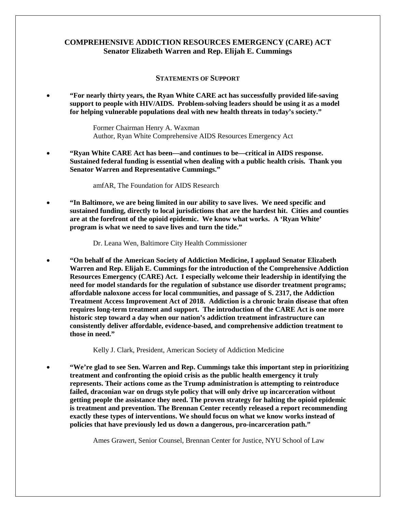## **COMPREHENSIVE ADDICTION RESOURCES EMERGENCY (CARE) ACT Senator Elizabeth Warren and Rep. Elijah E. Cummings**

## **STATEMENTS OF SUPPORT**

• **"For nearly thirty years, the Ryan White CARE act has successfully provided life-saving support to people with HIV/AIDS. Problem-solving leaders should be using it as a model for helping vulnerable populations deal with new health threats in today's society."**

> Former Chairman Henry A. Waxman Author, Ryan White Comprehensive AIDS Resources Emergency Act

• **"Ryan White CARE Act has been—and continues to be—critical in AIDS response. Sustained federal funding is essential when dealing with a public health crisis. Thank you Senator Warren and Representative Cummings."**

amfAR, The Foundation for AIDS Research

• **"In Baltimore, we are being limited in our ability to save lives. We need specific and sustained funding, directly to local jurisdictions that are the hardest hit. Cities and counties are at the forefront of the opioid epidemic. We know what works. A 'Ryan White' program is what we need to save lives and turn the tide."**

Dr. Leana Wen, Baltimore City Health Commissioner

• **"On behalf of the American Society of Addiction Medicine, I applaud Senator Elizabeth Warren and Rep. Elijah E. Cummings for the introduction of the Comprehensive Addiction Resources Emergency (CARE) Act. I especially welcome their leadership in identifying the need for model standards for the regulation of substance use disorder treatment programs; affordable naloxone access for local communities, and passage of S. 2317, the Addiction Treatment Access Improvement Act of 2018. Addiction is a chronic brain disease that often requires long-term treatment and support. The introduction of the CARE Act is one more historic step toward a day when our nation's addiction treatment infrastructure can consistently deliver affordable, evidence-based, and comprehensive addiction treatment to those in need."**

Kelly J. Clark, President, American Society of Addiction Medicine

• **"We're glad to see Sen. Warren and Rep. Cummings take this important step in prioritizing treatment and confronting the opioid crisis as the public health emergency it truly represents. Their actions come as the Trump administration is attempting to reintroduce failed, draconian war on drugs style policy that will only drive up incarceration without getting people the assistance they need. The proven strategy for halting the opioid epidemic is treatment and prevention. The Brennan Center recently released a report recommending exactly these types of interventions. We should focus on what we know works instead of policies that have previously led us down a dangerous, pro-incarceration path."**

Ames Grawert, Senior Counsel, Brennan Center for Justice, NYU School of Law